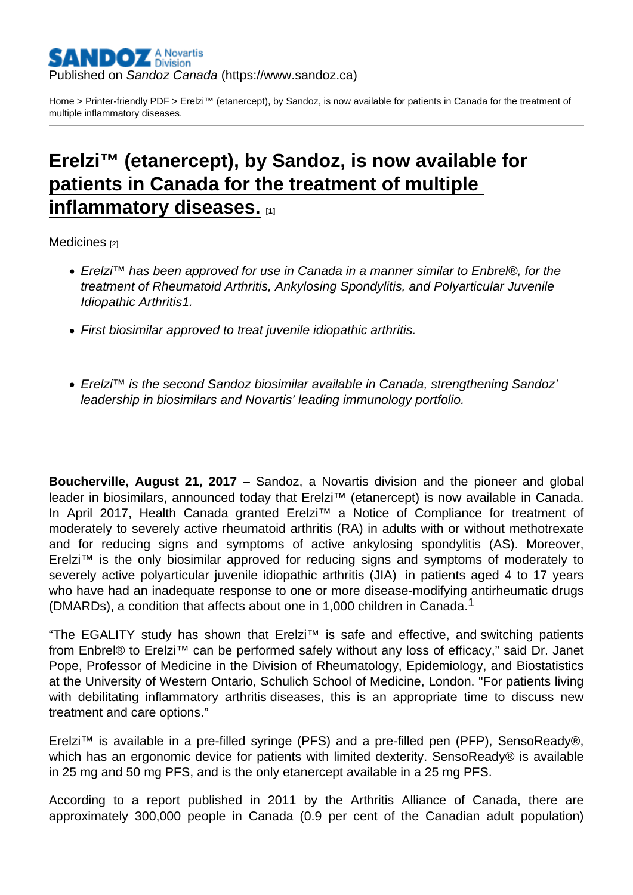#### Published on Sandoz Canada [\(https://www.sandoz.ca](https://www.sandoz.ca))

[Home](https://www.sandoz.ca/en) > [Printer-friendly PDF](https://www.sandoz.ca/en/printpdf) > Erelzi™ (etanercept), by Sandoz, is now available for patients in Canada for the treatment of multiple inflammatory diseases.

# [Erelzi™ \(etanercept\), by Sandoz, is now available for](https://www.sandoz.ca/en/stories/medicines/erelzi-now-available)  [patients in Canada for the treatment of multiple](https://www.sandoz.ca/en/stories/medicines/erelzi-now-available)  [inflammatory diseases.](https://www.sandoz.ca/en/stories/medicines/erelzi-now-available) [1]

[Medicines](https://www.sandoz.ca/en/stories/medicines) [2]

- Erelzi™ has been approved for use in Canada in a manner similar to Enbrel®, for the treatment of Rheumatoid Arthritis, Ankylosing Spondylitis, and Polyarticular Juvenile Idiopathic Arthritis1.
- First biosimilar approved to treat juvenile idiopathic arthritis.
- Erelzi™ is the second Sandoz biosimilar available in Canada, strengthening Sandoz' leadership in biosimilars and Novartis' leading immunology portfolio.

Boucherville, August 21, 2017 – Sandoz, a Novartis division and the pioneer and global leader in biosimilars, announced today that Erelzi™ (etanercept) is now available in Canada. In April 2017, Health Canada granted Erelzi™ a Notice of Compliance for treatment of moderately to severely active rheumatoid arthritis (RA) in adults with or without methotrexate and for reducing signs and symptoms of active ankylosing spondylitis (AS). Moreover, Erelzi™ is the only biosimilar approved for reducing signs and symptoms of moderately to severely active polyarticular juvenile idiopathic arthritis (JIA) in patients aged 4 to 17 years who have had an inadequate response to one or more disease-modifying antirheumatic drugs (DMARDs), a condition that affects about one in 1,000 children in Canada.<sup>1</sup>

"The EGALITY study has shown that Erelzi™ is safe and effective, and switching patients from Enbrel® to Erelzi™ can be performed safely without any loss of efficacy," said Dr. Janet Pope, Professor of Medicine in the Division of Rheumatology, Epidemiology, and Biostatistics at the University of Western Ontario, Schulich School of Medicine, London. "For patients living with debilitating inflammatory arthritis diseases, this is an appropriate time to discuss new treatment and care options."

Erelzi™ is available in a pre-filled syringe (PFS) and a pre-filled pen (PFP), SensoReady®, which has an ergonomic device for patients with limited dexterity. SensoReady® is available in 25 mg and 50 mg PFS, and is the only etanercept available in a 25 mg PFS.

According to a report published in 2011 by the Arthritis Alliance of Canada, there are approximately 300,000 people in Canada (0.9 per cent of the Canadian adult population)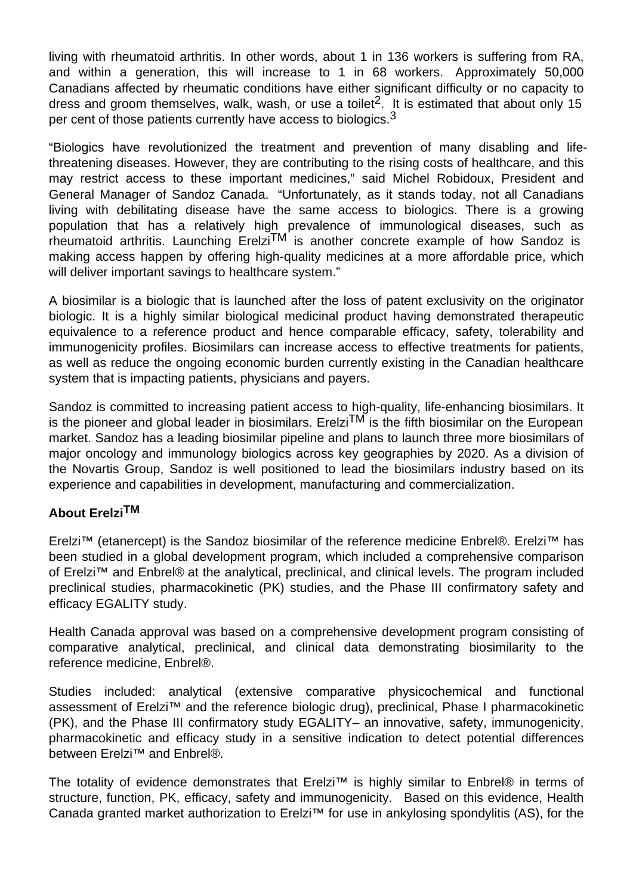living with rheumatoid arthritis. In other words, about 1 in 136 workers is suffering from RA, and within a generation, this will increase to 1 in 68 workers. Approximately 50,000 Canadians affected by rheumatic conditions have either significant difficulty or no capacity to dress and groom themselves, walk, wash, or use a toilet<sup>2</sup>. It is estimated that about only 15 per cent of those patients currently have access to biologics.<sup>3</sup>

"Biologics have revolutionized the treatment and prevention of many disabling and lifethreatening diseases. However, they are contributing to the rising costs of healthcare, and this may restrict access to these important medicines," said Michel Robidoux, President and General Manager of Sandoz Canada. "Unfortunately, as it stands today, not all Canadians living with debilitating disease have the same access to biologics. There is a growing population that has a relatively high prevalence of immunological diseases, such as  $r$  rheumatoid arthritis. Launching Erelzi<sup>TM</sup> is another concrete example of how Sandoz is making access happen by offering high-quality medicines at a more affordable price, which will deliver important savings to healthcare system."

A biosimilar is a biologic that is launched after the loss of patent exclusivity on the originator biologic. It is a highly similar biological medicinal product having demonstrated therapeutic equivalence to a reference product and hence comparable efficacy, safety, tolerability and immunogenicity profiles. Biosimilars can increase access to effective treatments for patients, as well as reduce the ongoing economic burden currently existing in the Canadian healthcare system that is impacting patients, physicians and payers.

Sandoz is committed to increasing patient access to high-quality, life-enhancing biosimilars. It is the pioneer and global leader in biosimilars. Erelzi<sup>TM</sup> is the fifth biosimilar on the European market. Sandoz has a leading biosimilar pipeline and plans to launch three more biosimilars of major oncology and immunology biologics across key geographies by 2020. As a division of the Novartis Group, Sandoz is well positioned to lead the biosimilars industry based on its experience and capabilities in development, manufacturing and commercialization.

# **About ErelziTM**

Erelzi™ (etanercept) is the Sandoz biosimilar of the reference medicine Enbrel®. Erelzi™ has been studied in a global development program, which included a comprehensive comparison of Erelzi™ and Enbrel® at the analytical, preclinical, and clinical levels. The program included preclinical studies, pharmacokinetic (PK) studies, and the Phase III confirmatory safety and efficacy EGALITY study.

Health Canada approval was based on a comprehensive development program consisting of comparative analytical, preclinical, and clinical data demonstrating biosimilarity to the reference medicine, Enbrel®.

Studies included: analytical (extensive comparative physicochemical and functional assessment of Erelzi™ and the reference biologic drug), preclinical, Phase I pharmacokinetic (PK), and the Phase III confirmatory study EGALITY– an innovative, safety, immunogenicity, pharmacokinetic and efficacy study in a sensitive indication to detect potential differences between Erelzi<sup>™</sup> and Enbrel®.

The totality of evidence demonstrates that Erelzi™ is highly similar to Enbrel® in terms of structure, function, PK, efficacy, safety and immunogenicity. Based on this evidence, Health Canada granted market authorization to Erelzi™ for use in ankylosing spondylitis (AS), for the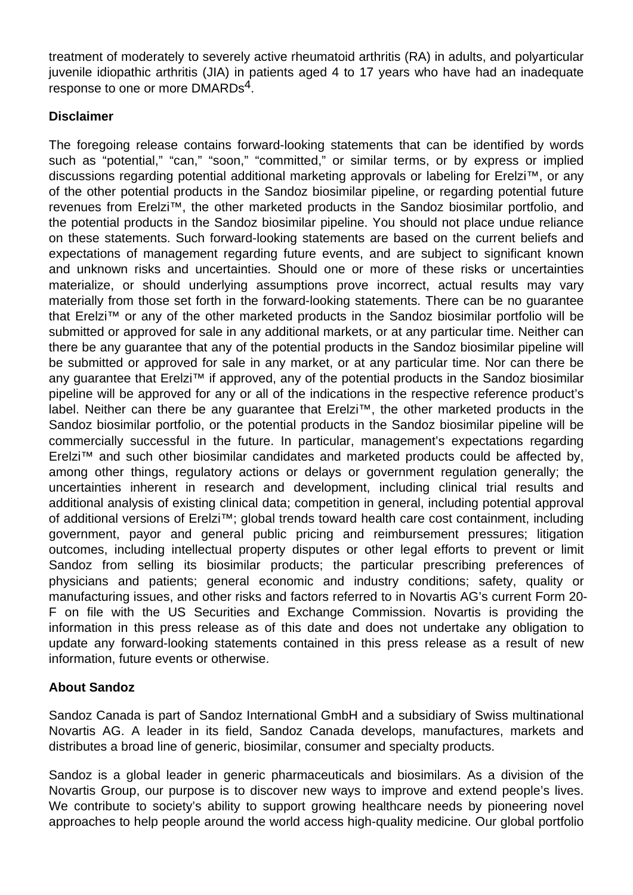treatment of moderately to severely active rheumatoid arthritis (RA) in adults, and polyarticular juvenile idiopathic arthritis (JIA) in patients aged 4 to 17 years who have had an inadequate response to one or more DMARDs<sup>4</sup>.

### **Disclaimer**

The foregoing release contains forward-looking statements that can be identified by words such as "potential," "can," "soon," "committed," or similar terms, or by express or implied discussions regarding potential additional marketing approvals or labeling for Erelzi<sup>™</sup>, or any of the other potential products in the Sandoz biosimilar pipeline, or regarding potential future revenues from Erelzi™, the other marketed products in the Sandoz biosimilar portfolio, and the potential products in the Sandoz biosimilar pipeline. You should not place undue reliance on these statements. Such forward-looking statements are based on the current beliefs and expectations of management regarding future events, and are subject to significant known and unknown risks and uncertainties. Should one or more of these risks or uncertainties materialize, or should underlying assumptions prove incorrect, actual results may vary materially from those set forth in the forward-looking statements. There can be no guarantee that Erelzi™ or any of the other marketed products in the Sandoz biosimilar portfolio will be submitted or approved for sale in any additional markets, or at any particular time. Neither can there be any guarantee that any of the potential products in the Sandoz biosimilar pipeline will be submitted or approved for sale in any market, or at any particular time. Nor can there be any quarantee that Erelzi<sup>™</sup> if approved, any of the potential products in the Sandoz biosimilar pipeline will be approved for any or all of the indications in the respective reference product's label. Neither can there be any guarantee that Erelzi™, the other marketed products in the Sandoz biosimilar portfolio, or the potential products in the Sandoz biosimilar pipeline will be commercially successful in the future. In particular, management's expectations regarding Erelzi™ and such other biosimilar candidates and marketed products could be affected by, among other things, regulatory actions or delays or government regulation generally; the uncertainties inherent in research and development, including clinical trial results and additional analysis of existing clinical data; competition in general, including potential approval of additional versions of Erelzi™; global trends toward health care cost containment, including government, payor and general public pricing and reimbursement pressures; litigation outcomes, including intellectual property disputes or other legal efforts to prevent or limit Sandoz from selling its biosimilar products; the particular prescribing preferences of physicians and patients; general economic and industry conditions; safety, quality or manufacturing issues, and other risks and factors referred to in Novartis AG's current Form 20- F on file with the US Securities and Exchange Commission. Novartis is providing the information in this press release as of this date and does not undertake any obligation to update any forward-looking statements contained in this press release as a result of new information, future events or otherwise.

# **About Sandoz**

Sandoz Canada is part of Sandoz International GmbH and a subsidiary of Swiss multinational Novartis AG. A leader in its field, Sandoz Canada develops, manufactures, markets and distributes a broad line of generic, biosimilar, consumer and specialty products.

Sandoz is a global leader in generic pharmaceuticals and biosimilars. As a division of the Novartis Group, our purpose is to discover new ways to improve and extend people's lives. We contribute to society's ability to support growing healthcare needs by pioneering novel approaches to help people around the world access high-quality medicine. Our global portfolio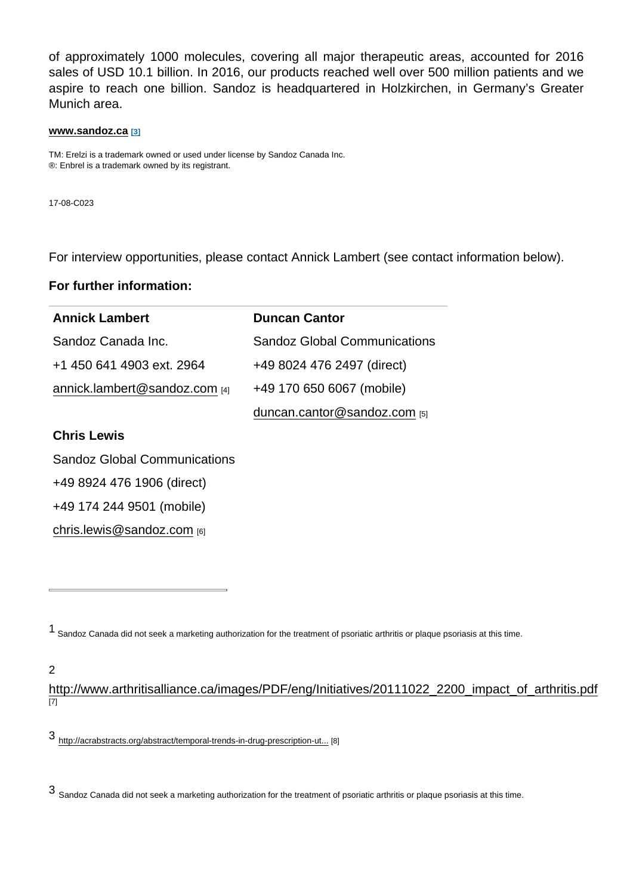of approximately 1000 molecules, covering all major therapeutic areas, accounted for 2016 sales of USD 10.1 billion. In 2016, our products reached well over 500 million patients and we aspire to reach one billion. Sandoz is headquartered in Holzkirchen, in Germany's Greater Munich area.

#### [www.sandoz.ca](https://www.sandoz.ca/en) [3]

TM: Erelzi is a trademark owned or used under license by Sandoz Canada Inc. ®: Enbrel is a trademark owned by its registrant.

17-08-C023

For interview opportunities, please contact Annick Lambert (see contact information below).

For further information:

| <b>Annick Lambert</b>               | <b>Duncan Cantor</b>                |
|-------------------------------------|-------------------------------------|
| Sandoz Canada Inc.                  | <b>Sandoz Global Communications</b> |
| +1 450 641 4903 ext. 2964           | +49 8024 476 2497 (direct)          |
| annick.lambert@sandoz.com [4]       | +49 170 650 6067 (mobile)           |
|                                     | duncan.cantor@sandoz.com $_{[5]}$   |
| Chris Lewis                         |                                     |
| <b>Sandoz Global Communications</b> |                                     |
| +49 8924 476 1906 (direct)          |                                     |
| +49 174 244 9501 (mobile)           |                                     |

[chris.lewis@sandoz.com](mailto:chris.lewis@sandoz.com) [6]

2

[http://www.arthritisalliance.ca/images/PDF/eng/Initiatives/20111022\\_2200\\_impact\\_of\\_arthritis.pdf](http://www.arthritisalliance.ca/images/PDF/eng/Initiatives/20111022_2200_impact_of_arthritis.pdf) [7]

3 [http://acrabstracts.org/abstract/temporal-trends-in-drug-prescription-ut...](http://acrabstracts.org/abstract/temporal-trends-in-drug-prescription-utilization-and-costs-among-rheumatoid-arthritis-ra-patients-show-wide-regional-variation-despite-universal-drug-coverage/) [8]

3 Sandoz Canada did not seek a marketing authorization for the treatment of psoriatic arthritis or plaque psoriasis at this time.

<sup>1</sup> Sandoz Canada did not seek a marketing authorization for the treatment of psoriatic arthritis or plaque psoriasis at this time.